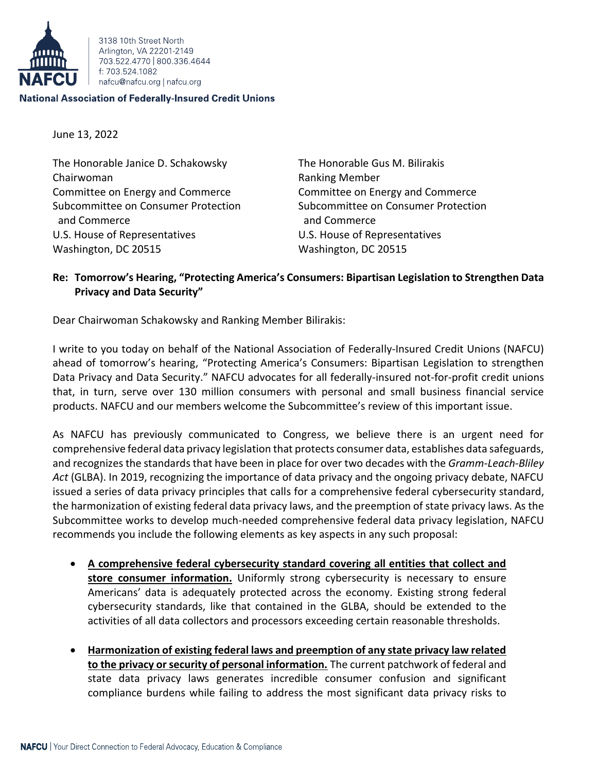

3138 10th Street North Arlington, VA 22201-2149 703.522.4770 800.336.4644 f: 703.524.1082 nafcu@nafcu.org | nafcu.org

## **National Association of Federally-Insured Credit Unions**

June 13, 2022

The Honorable Janice D. Schakowsky The Honorable Gus M. Bilirakis Chairwoman **Ranking Member** Ranking Member Committee on Energy and Commerce Committee on Energy and Commerce and Commerce and Commerce and Commerce U.S. House of Representatives U.S. House of Representatives Washington, DC 20515 Washington, DC 20515

Subcommittee on Consumer Protection Subcommittee on Consumer Protection

## **Re: Tomorrow's Hearing, "Protecting America's Consumers: Bipartisan Legislation to Strengthen Data Privacy and Data Security"**

Dear Chairwoman Schakowsky and Ranking Member Bilirakis:

I write to you today on behalf of the National Association of Federally-Insured Credit Unions (NAFCU) ahead of tomorrow's hearing, "Protecting America's Consumers: Bipartisan Legislation to strengthen Data Privacy and Data Security." NAFCU advocates for all federally-insured not-for-profit credit unions that, in turn, serve over 130 million consumers with personal and small business financial service products. NAFCU and our members welcome the Subcommittee's review of this important issue.

As NAFCU has previously communicated to Congress, we believe there is an urgent need for comprehensive federal data privacy legislation that protects consumer data, establishes data safeguards, and recognizes the standards that have been in place for over two decades with the *Gramm-Leach-Bliley Act* (GLBA). In 2019, recognizing the importance of data privacy and the ongoing privacy debate, NAFCU issued a series of data privacy principles that calls for a comprehensive federal cybersecurity standard, the harmonization of existing federal data privacy laws, and the preemption of state privacy laws. As the Subcommittee works to develop much-needed comprehensive federal data privacy legislation, NAFCU recommends you include the following elements as key aspects in any such proposal:

- **A comprehensive federal cybersecurity standard covering all entities that collect and store consumer information.** Uniformly strong cybersecurity is necessary to ensure Americans' data is adequately protected across the economy. Existing strong federal cybersecurity standards, like that contained in the GLBA, should be extended to the activities of all data collectors and processors exceeding certain reasonable thresholds.
- **Harmonization of existing federal laws and preemption of any state privacy law related to the privacy or security of personal information.** The current patchwork of federal and state data privacy laws generates incredible consumer confusion and significant compliance burdens while failing to address the most significant data privacy risks to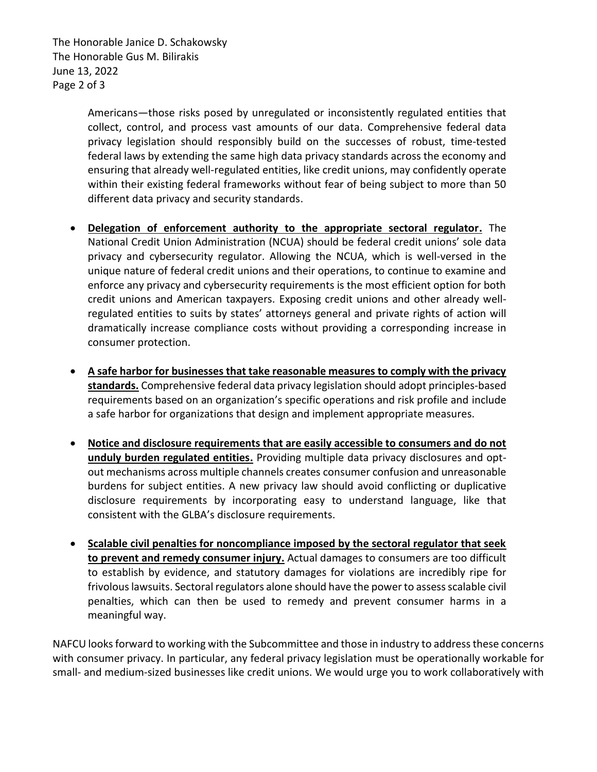The Honorable Janice D. Schakowsky The Honorable Gus M. Bilirakis June 13, 2022 Page 2 of 3

> Americans—those risks posed by unregulated or inconsistently regulated entities that collect, control, and process vast amounts of our data. Comprehensive federal data privacy legislation should responsibly build on the successes of robust, time-tested federal laws by extending the same high data privacy standards across the economy and ensuring that already well-regulated entities, like credit unions, may confidently operate within their existing federal frameworks without fear of being subject to more than 50 different data privacy and security standards.

- **Delegation of enforcement authority to the appropriate sectoral regulator.** The National Credit Union Administration (NCUA) should be federal credit unions' sole data privacy and cybersecurity regulator. Allowing the NCUA, which is well-versed in the unique nature of federal credit unions and their operations, to continue to examine and enforce any privacy and cybersecurity requirements is the most efficient option for both credit unions and American taxpayers. Exposing credit unions and other already wellregulated entities to suits by states' attorneys general and private rights of action will dramatically increase compliance costs without providing a corresponding increase in consumer protection.
- **A safe harbor for businesses that take reasonable measures to comply with the privacy standards.** Comprehensive federal data privacy legislation should adopt principles-based requirements based on an organization's specific operations and risk profile and include a safe harbor for organizations that design and implement appropriate measures.
- **Notice and disclosure requirements that are easily accessible to consumers and do not unduly burden regulated entities.** Providing multiple data privacy disclosures and optout mechanisms across multiple channels creates consumer confusion and unreasonable burdens for subject entities. A new privacy law should avoid conflicting or duplicative disclosure requirements by incorporating easy to understand language, like that consistent with the GLBA's disclosure requirements.
- **Scalable civil penalties for noncompliance imposed by the sectoral regulator that seek to prevent and remedy consumer injury.** Actual damages to consumers are too difficult to establish by evidence, and statutory damages for violations are incredibly ripe for frivolous lawsuits. Sectoral regulators alone should have the power to assess scalable civil penalties, which can then be used to remedy and prevent consumer harms in a meaningful way.

NAFCU looks forward to working with the Subcommittee and those in industry to address these concerns with consumer privacy. In particular, any federal privacy legislation must be operationally workable for small- and medium-sized businesses like credit unions. We would urge you to work collaboratively with